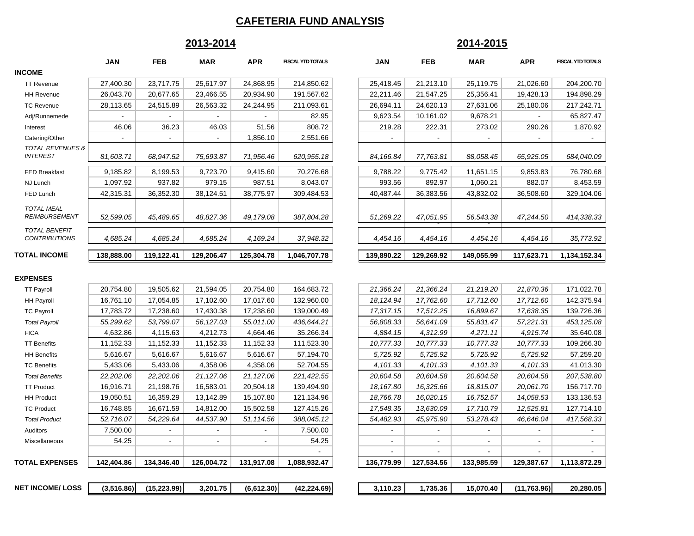### **CAFETERIA FUND ANALYSIS**

# **2013-2014**

# **2014-2015**

|                                                | <b>JAN</b> | <b>FEB</b> | <b>MAR</b> | <b>APR</b> | <b>FISCAL YTD TOTALS</b> | <b>JAN</b> | <b>FEB</b> | <b>MAR</b> | <b>APR</b>     | FISCAL YTD TOTALS |
|------------------------------------------------|------------|------------|------------|------------|--------------------------|------------|------------|------------|----------------|-------------------|
| <b>INCOME</b>                                  |            |            |            |            |                          |            |            |            |                |                   |
| <b>TT Revenue</b>                              | 27,400.30  | 23,717.75  | 25,617.97  | 24,868.95  | 214,850.62               | 25,418.45  | 21,213.10  | 25,119.75  | 21,026.60      | 204,200.70        |
| <b>HH Revenue</b>                              | 26,043.70  | 20,677.65  | 23,466.55  | 20,934.90  | 191,567.62               | 22,211.46  | 21,547.25  | 25,356.41  | 19,428.13      | 194,898.29        |
| <b>TC Revenue</b>                              | 28,113.65  | 24,515.89  | 26,563.32  | 24,244.95  | 211,093.61               | 26,694.11  | 24,620.13  | 27,631.06  | 25,180.06      | 217,242.71        |
| Adj/Runnemede                                  |            |            |            |            | 82.95                    | 9,623.54   | 10,161.02  | 9,678.21   |                | 65,827.47         |
| Interest                                       | 46.06      | 36.23      | 46.03      | 51.56      | 808.72                   | 219.28     | 222.31     | 273.02     | 290.26         | 1,870.92          |
| Catering/Other                                 |            |            |            | 1,856.10   | 2,551.66                 |            |            |            |                |                   |
| <b>TOTAL REVENUES &amp;</b><br><b>INTEREST</b> | 81,603.71  | 68,947.52  | 75,693.87  | 71,956.46  | 620,955.18               | 84,166.84  | 77,763.81  | 88,058.45  | 65,925.05      | 684,040.09        |
| FED Breakfast                                  | 9,185.82   | 8,199.53   | 9,723.70   | 9,415.60   | 70,276.68                | 9,788.22   | 9,775.42   | 11,651.15  | 9,853.83       | 76,780.68         |
| NJ Lunch                                       | 1,097.92   | 937.82     | 979.15     | 987.51     | 8,043.07                 | 993.56     | 892.97     | 1,060.21   | 882.07         | 8,453.59          |
| FED Lunch                                      | 42,315.31  | 36,352.30  | 38,124.51  | 38,775.97  | 309,484.53               | 40,487.44  | 36,383.56  | 43,832.02  | 36,508.60      | 329,104.06        |
| <b>TOTAL MEAL</b><br><b>REIMBURSEMENT</b>      | 52,599.05  | 45,489.65  | 48,827.36  | 49,179.08  | 387,804.28               | 51,269.22  | 47,051.95  | 56,543.38  | 47,244.50      | 414,338.33        |
| <b>TOTAL BENEFIT</b><br><b>CONTRIBUTIONS</b>   | 4,685.24   | 4,685.24   | 4,685.24   | 4,169.24   | 37,948.32                | 4,454.16   | 4,454.16   | 4,454.16   | 4,454.16       | 35,773.92         |
| <b>TOTAL INCOME</b>                            | 138,888.00 | 119,122.41 | 129,206.47 | 125,304.78 | 1,046,707.78             | 139,890.22 | 129,269.92 | 149,055.99 | 117,623.71     | 1,134,152.34      |
| <b>EXPENSES</b>                                |            |            |            |            |                          |            |            |            |                |                   |
| <b>TT Payroll</b>                              | 20,754.80  | 19,505.62  | 21,594.05  | 20,754.80  | 164,683.72               | 21,366.24  | 21,366.24  | 21,219.20  | 21,870.36      | 171,022.78        |
| <b>HH Payroll</b>                              | 16,761.10  | 17,054.85  | 17,102.60  | 17,017.60  | 132,960.00               | 18, 124.94 | 17,762.60  | 17,712.60  | 17,712.60      | 142,375.94        |
| <b>TC Payroll</b>                              | 17,783.72  | 17,238.60  | 17,430.38  | 17,238.60  | 139.000.49               | 17,317.15  | 17,512.25  | 16.899.67  | 17,638.35      | 139,726.36        |
| <b>Total Payroll</b>                           | 55,299.62  | 53,799.07  | 56, 127.03 | 55,011.00  | 436,644.21               | 56,808.33  | 56,641.09  | 55,831.47  | 57,221.31      | 453, 125.08       |
| <b>FICA</b>                                    | 4,632.86   | 4,115.63   | 4,212.73   | 4,664.46   | 35,266.34                | 4,884.15   | 4,312.99   | 4,271.11   | 4,915.74       | 35,640.08         |
| <b>TT Benefits</b>                             | 11,152.33  | 11,152.33  | 11,152.33  | 11,152.33  | 111,523.30               | 10,777.33  | 10,777.33  | 10,777.33  | 10,777.33      | 109,266.30        |
| <b>HH Benefits</b>                             | 5,616.67   | 5,616.67   | 5,616.67   | 5,616.67   | 57,194.70                | 5,725.92   | 5,725.92   | 5,725.92   | 5,725.92       | 57,259.20         |
| <b>TC Benefits</b>                             | 5,433.06   | 5,433.06   | 4,358.06   | 4,358.06   | 52,704.55                | 4,101.33   | 4,101.33   | 4,101.33   | 4,101.33       | 41,013.30         |
| <b>Total Benefits</b>                          | 22,202.06  | 22,202.06  | 21,127.06  | 21,127.06  | 221,422.55               | 20,604.58  | 20,604.58  | 20,604.58  | 20,604.58      | 207,538.80        |
| <b>TT Product</b>                              | 16,916.71  | 21,198.76  | 16,583.01  | 20,504.18  | 139,494.90               | 18,167.80  | 16,325.66  | 18,815.07  | 20,061.70      | 156,717.70        |
| <b>HH Product</b>                              | 19,050.51  | 16,359.29  | 13,142.89  | 15,107.80  | 121,134.96               | 18,766.78  | 16,020.15  | 16,752.57  | 14,058.53      | 133,136.53        |
| <b>TC Product</b>                              | 16,748.85  | 16,671.59  | 14,812.00  | 15,502.58  | 127,415.26               | 17,548.35  | 13,630.09  | 17,710.79  | 12,525.81      | 127,714.10        |
| <b>Total Product</b>                           | 52,716.07  | 54,229.64  | 44,537.90  | 51,114.56  | 388,045.12               | 54,482.93  | 45,975.90  | 53,278.43  | 46,646.04      | 417,568.33        |
| Auditors                                       | 7,500.00   |            |            |            | 7,500.00                 | $\sim$     |            |            | $\blacksquare$ |                   |

Miscellaneous | 54.25 | -

**TOTAL EXPENSES**

| R     | <b>FISCAL YTD TOTALS</b> | JAN        | FEB        | MAR        | APR        | <b>FISCAL YTD TOTALS</b> |
|-------|--------------------------|------------|------------|------------|------------|--------------------------|
| 68.95 | 214,850.62               | 25,418.45  | 21,213.10  | 25,119.75  | 21,026.60  | 204,200.70               |
| 34.90 | 191,567.62               | 22,211.46  | 21,547.25  | 25,356.41  | 19,428.13  | 194,898.29               |
| 44.95 | 211,093.61               | 26,694.11  | 24,620.13  | 27,631.06  | 25,180.06  | 217,242.71               |
|       | 82.95                    | 9,623.54   | 10,161.02  | 9,678.21   |            | 65,827.47                |
| 51.56 | 808.72                   | 219.28     | 222.31     | 273.02     | 290.26     | 1,870.92                 |
| 56.10 | 2,551.66                 |            |            |            |            |                          |
| 56.46 | 620,955.18               | 84,166.84  | 77,763.81  | 88,058.45  | 65,925.05  | 684,040.09               |
| 15.60 | 70,276.68                | 9,788.22   | 9,775.42   | 11,651.15  | 9,853.83   | 76,780.68                |
| 87.51 | 8,043.07                 | 993.56     | 892.97     | 1,060.21   | 882.07     | 8,453.59                 |
| 75.97 | 309,484.53               | 40,487.44  | 36,383.56  | 43,832.02  | 36,508.60  | 329,104.06               |
|       |                          |            |            |            |            |                          |
| 79.08 | 387,804.28               | 51,269.22  | 47,051.95  | 56,543.38  | 47,244.50  | 414,338.33               |
|       |                          |            |            |            |            |                          |
| 69.24 | 37,948.32                | 4,454.16   | 4,454.16   | 4,454.16   | 4,454.16   | 35,773.92                |
| 04.78 | 1,046,707.78             | 139,890.22 | 129,269.92 | 149,055.99 | 117,623.71 | 1,134,152.34             |

| 20,754.80  | 19,505.62  | 21,594.05  | 20,754.80  | 164,683.72   | 21,366.24  | 21,366.24                | 21,219.20  | 21,870.36  | 171,022.78   |
|------------|------------|------------|------------|--------------|------------|--------------------------|------------|------------|--------------|
| 16,761.10  | 17,054.85  | 17,102.60  | 17,017.60  | 132,960.00   | 18, 124.94 | 17,762.60                | 17,712.60  | 17,712.60  | 142,375.94   |
| 17,783.72  | 17,238.60  | 17,430.38  | 17,238.60  | 139,000.49   | 17,317.15  | 17,512.25                | 16,899.67  | 17,638.35  | 139,726.36   |
| 55,299.62  | 53,799.07  | 56,127.03  | 55,011.00  | 436,644.21   | 56,808.33  | 56,641.09                | 55,831.47  | 57,221.31  | 453, 125.08  |
| 4,632.86   | 4,115.63   | 4,212.73   | 4,664.46   | 35,266.34    | 4,884.15   | 4,312.99                 | 4,271.11   | 4,915.74   | 35,640.08    |
| 11,152.33  | 11,152.33  | 11,152.33  | 11,152.33  | 111,523.30   | 10,777.33  | 10,777.33                | 10,777.33  | 10,777.33  | 109,266.30   |
| 5,616.67   | 5,616.67   | 5,616.67   | 5,616.67   | 57,194.70    | 5,725.92   | 5,725.92                 | 5,725.92   | 5,725.92   | 57,259.20    |
| 5,433.06   | 5,433.06   | 4,358.06   | 4,358.06   | 52,704.55    | 4,101.33   | 4,101.33                 | 4,101.33   | 4,101.33   | 41,013.30    |
| 22,202.06  | 22,202.06  | 21,127.06  | 21,127.06  | 221,422.55   | 20,604.58  | 20,604.58                | 20,604.58  | 20,604.58  | 207,538.80   |
| 16,916.71  | 21,198.76  | 16,583.01  | 20,504.18  | 139,494.90   | 18,167.80  | 16,325.66                | 18,815.07  | 20,061.70  | 156,717.70   |
| 19,050.51  | 16,359.29  | 13,142.89  | 15,107.80  | 121,134.96   | 18,766.78  | 16,020.15                | 16,752.57  | 14,058.53  | 133,136.53   |
| 16,748.85  | 16,671.59  | 14,812.00  | 15,502.58  | 127,415.26   | 17,548.35  | 13,630.09                | 17,710.79  | 12,525.81  | 127,714.10   |
| 52,716.07  | 54,229.64  | 44,537.90  | 51,114.56  | 388,045.12   | 54,482.93  | 45,975.90                | 53,278.43  | 46,646.04  | 417,568.33   |
| 7,500.00   |            |            |            | 7,500.00     |            | $\overline{\phantom{a}}$ |            |            |              |
| 54.25      |            |            |            | 54.25        |            | $\overline{\phantom{a}}$ |            |            |              |
|            |            |            |            |              |            |                          |            |            |              |
| 142,404.86 | 134,346.40 | 126,004.72 | 131,917.08 | 1,088,932.47 | 136,779.99 | 127,534.56               | 133,985.59 | 129,387.67 | 1,113,872.29 |

| <b>NET INCOME/LOSS</b> | (3.516.86) | (15.223.99) | 3.201.75 | (6.612.30) | (42.224.69) | .110.23<br>. | 1,735.36 | 15.070.40 | (11.763.96) | 20.280.05 |
|------------------------|------------|-------------|----------|------------|-------------|--------------|----------|-----------|-------------|-----------|
|                        |            |             |          |            |             |              |          |           |             |           |